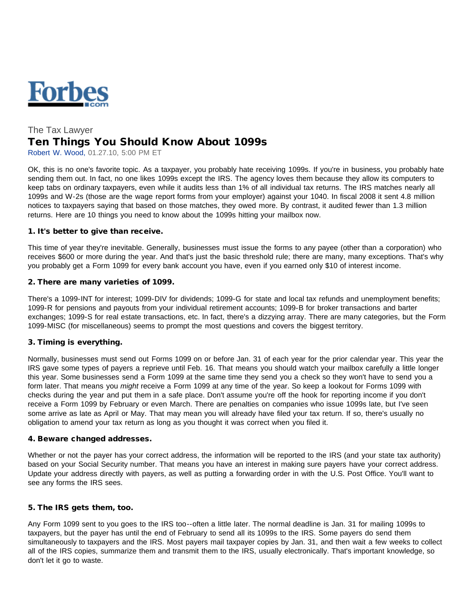

# The Tax Lawyer Ten Things You Should Know About 1099s

Robert W. Wood, 01.27.10, 5:00 PM ET

OK, this is no one's favorite topic. As a taxpayer, you probably hate receiving 1099s. If you're in business, you probably hate sending them out. In fact, no one likes 1099s except the IRS. The agency loves them because they allow its computers to keep tabs on ordinary taxpayers, even while it audits less than 1% of all individual tax returns. The IRS matches nearly all 1099s and W-2s (those are the wage report forms from your employer) against your 1040. In fiscal 2008 it sent 4.8 million notices to taxpayers saying that based on those matches, they owed more. By contrast, it audited fewer than 1.3 million returns. Here are 10 things you need to know about the 1099s hitting your mailbox now.

#### 1. It's better to give than receive.

This time of year they're inevitable. Generally, businesses must issue the forms to any payee (other than a corporation) who receives \$600 or more during the year. And that's just the basic threshold rule; there are many, many exceptions. That's why you probably get a Form 1099 for every bank account you have, even if you earned only \$10 of interest income.

#### 2. There are many varieties of 1099.

There's a 1099-INT for interest; 1099-DIV for dividends; 1099-G for state and local tax refunds and unemployment benefits; 1099-R for pensions and payouts from your individual retirement accounts; 1099-B for broker transactions and barter exchanges; 1099-S for real estate transactions, etc. In fact, there's a dizzying array. There are many categories, but the Form 1099-MISC (for miscellaneous) seems to prompt the most questions and covers the biggest territory.

## 3. Timing is everything.

Normally, businesses must send out Forms 1099 on or before Jan. 31 of each year for the prior calendar year. This year the IRS gave some types of payers a reprieve until Feb. 16. That means you should watch your mailbox carefully a little longer this year. Some businesses send a Form 1099 at the same time they send you a check so they won't have to send you a form later. That means you *might* receive a Form 1099 at any time of the year. So keep a lookout for Forms 1099 with checks during the year and put them in a safe place. Don't assume you're off the hook for reporting income if you don't receive a Form 1099 by February or even March. There are penalties on companies who issue 1099s late, but I've seen some arrive as late as April or May. That may mean you will already have filed your tax return. If so, there's usually no obligation to amend your tax return as long as you thought it was correct when you filed it.

#### 4. Beware changed addresses.

Whether or not the payer has your correct address, the information will be reported to the IRS (and your state tax authority) based on your Social Security number. That means you have an interest in making sure payers have your correct address. Update your address directly with payers, as well as putting a forwarding order in with the U.S. Post Office. You'll want to see any forms the IRS sees.

## 5. The IRS gets them, too.

Any Form 1099 sent to you goes to the IRS too--often a little later. The normal deadline is Jan. 31 for mailing 1099s to taxpayers, but the payer has until the end of February to send all its 1099s to the IRS. Some payers do send them simultaneously to taxpayers and the IRS. Most payers mail taxpayer copies by Jan. 31, and then wait a few weeks to collect all of the IRS copies, summarize them and transmit them to the IRS, usually electronically. That's important knowledge, so don't let it go to waste.